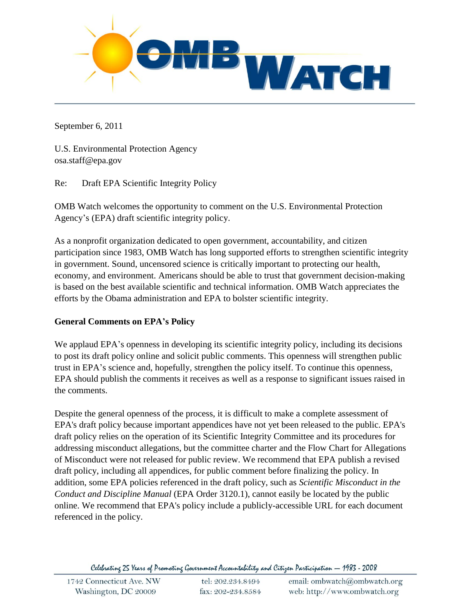

September 6, 2011

U.S. Environmental Protection Agency osa.staff@epa.gov

Re: Draft EPA Scientific Integrity Policy

OMB Watch welcomes the opportunity to comment on the U.S. Environmental Protection Agency's (EPA) draft scientific integrity policy.

As a nonprofit organization dedicated to open government, accountability, and citizen participation since 1983, OMB Watch has long supported efforts to strengthen scientific integrity in government. Sound, uncensored science is critically important to protecting our health, economy, and environment. Americans should be able to trust that government decision-making is based on the best available scientific and technical information. OMB Watch appreciates the efforts by the Obama administration and EPA to bolster scientific integrity.

#### **General Comments on EPA's Policy**

We applaud EPA's openness in developing its scientific integrity policy, including its decisions to post its draft policy online and solicit public comments. This openness will strengthen public trust in EPA's science and, hopefully, strengthen the policy itself. To continue this openness, EPA should publish the comments it receives as well as a response to significant issues raised in the comments.

Despite the general openness of the process, it is difficult to make a complete assessment of EPA's draft policy because important appendices have not yet been released to the public. EPA's draft policy relies on the operation of its Scientific Integrity Committee and its procedures for addressing misconduct allegations, but the committee charter and the Flow Chart for Allegations of Misconduct were not released for public review. We recommend that EPA publish a revised draft policy, including all appendices, for public comment before finalizing the policy. In addition, some EPA policies referenced in the draft policy, such as *Scientific Misconduct in the Conduct and Discipline Manual* (EPA Order 3120.1), cannot easily be located by the public online. We recommend that EPA's policy include a publicly-accessible URL for each document referenced in the policy.

Celebrating 25 Years of Promoting Government Accountability and Citizen Participation - 1983 - 2008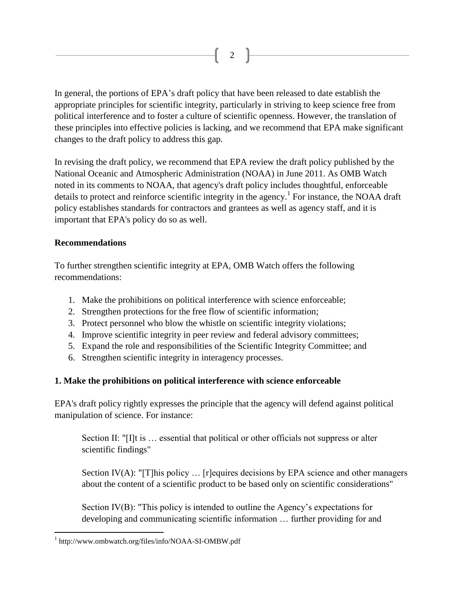In general, the portions of EPA's draft policy that have been released to date establish the appropriate principles for scientific integrity, particularly in striving to keep science free from political interference and to foster a culture of scientific openness. However, the translation of these principles into effective policies is lacking, and we recommend that EPA make significant changes to the draft policy to address this gap.

2

In revising the draft policy, we recommend that EPA review the draft policy published by the National Oceanic and Atmospheric Administration (NOAA) in June 2011. As OMB Watch noted in its comments to NOAA, that agency's draft policy includes thoughtful, enforceable details to protect and reinforce scientific integrity in the agency.<sup>1</sup> For instance, the NOAA draft policy establishes standards for contractors and grantees as well as agency staff, and it is important that EPA's policy do so as well.

#### **Recommendations**

 $\overline{a}$ 

To further strengthen scientific integrity at EPA, OMB Watch offers the following recommendations:

- 1. Make the prohibitions on political interference with science enforceable;
- 2. Strengthen protections for the free flow of scientific information;
- 3. Protect personnel who blow the whistle on scientific integrity violations;
- 4. Improve scientific integrity in peer review and federal advisory committees;
- 5. Expand the role and responsibilities of the Scientific Integrity Committee; and
- 6. Strengthen scientific integrity in interagency processes.

#### **1. Make the prohibitions on political interference with science enforceable**

EPA's draft policy rightly expresses the principle that the agency will defend against political manipulation of science. For instance:

Section II: "[I]t is ... essential that political or other officials not suppress or alter scientific findings"

Section IV(A): "[T]his policy ... [r] equires decisions by EPA science and other managers about the content of a scientific product to be based only on scientific considerations"

Section IV(B): "This policy is intended to outline the Agency's expectations for developing and communicating scientific information … further providing for and

<sup>&</sup>lt;sup>1</sup> http://www.ombwatch.org/files/info/NOAA-SI-OMBW.pdf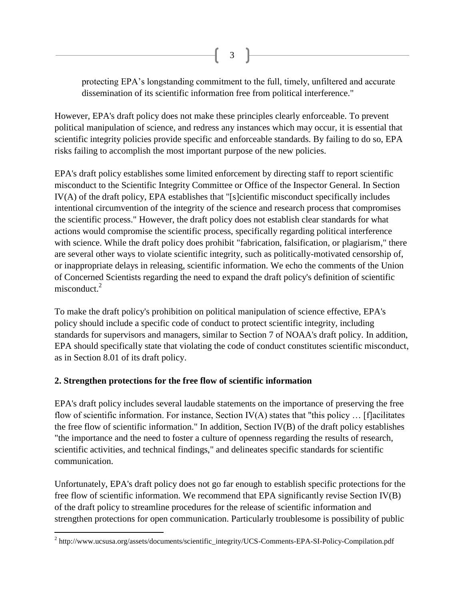protecting EPA's longstanding commitment to the full, timely, unfiltered and accurate dissemination of its scientific information free from political interference."

However, EPA's draft policy does not make these principles clearly enforceable. To prevent political manipulation of science, and redress any instances which may occur, it is essential that scientific integrity policies provide specific and enforceable standards. By failing to do so, EPA risks failing to accomplish the most important purpose of the new policies.

EPA's draft policy establishes some limited enforcement by directing staff to report scientific misconduct to the Scientific Integrity Committee or Office of the Inspector General. In Section IV(A) of the draft policy, EPA establishes that "[s]cientific misconduct specifically includes intentional circumvention of the integrity of the science and research process that compromises the scientific process." However, the draft policy does not establish clear standards for what actions would compromise the scientific process, specifically regarding political interference with science. While the draft policy does prohibit "fabrication, falsification, or plagiarism," there are several other ways to violate scientific integrity, such as politically-motivated censorship of, or inappropriate delays in releasing, scientific information. We echo the comments of the Union of Concerned Scientists regarding the need to expand the draft policy's definition of scientific misconduct.<sup>2</sup>

To make the draft policy's prohibition on political manipulation of science effective, EPA's policy should include a specific code of conduct to protect scientific integrity, including standards for supervisors and managers, similar to Section 7 of NOAA's draft policy. In addition, EPA should specifically state that violating the code of conduct constitutes scientific misconduct, as in Section 8.01 of its draft policy.

#### **2. Strengthen protections for the free flow of scientific information**

EPA's draft policy includes several laudable statements on the importance of preserving the free flow of scientific information. For instance, Section IV(A) states that "this policy … [f]acilitates the free flow of scientific information." In addition, Section IV(B) of the draft policy establishes "the importance and the need to foster a culture of openness regarding the results of research, scientific activities, and technical findings," and delineates specific standards for scientific communication.

Unfortunately, EPA's draft policy does not go far enough to establish specific protections for the free flow of scientific information. We recommend that EPA significantly revise Section IV(B) of the draft policy to streamline procedures for the release of scientific information and strengthen protections for open communication. Particularly troublesome is possibility of public

 $\overline{a}$  $2 \text{ http://www.ucsusa.org/assets/documents/scientific_integrity/UCS-Comments-EPA-SI-Policy-Compilation.pdf}$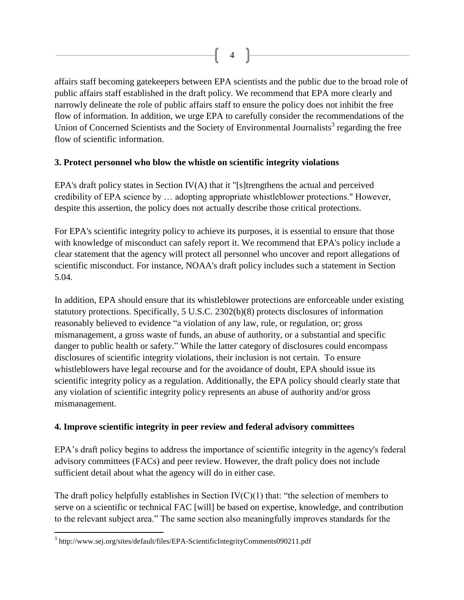affairs staff becoming gatekeepers between EPA scientists and the public due to the broad role of public affairs staff established in the draft policy. We recommend that EPA more clearly and narrowly delineate the role of public affairs staff to ensure the policy does not inhibit the free flow of information. In addition, we urge EPA to carefully consider the recommendations of the Union of Concerned Scientists and the Society of Environmental Journalists<sup>3</sup> regarding the free flow of scientific information.

#### **3. Protect personnel who blow the whistle on scientific integrity violations**

EPA's draft policy states in Section IV(A) that it "[s]trengthens the actual and perceived credibility of EPA science by … adopting appropriate whistleblower protections." However, despite this assertion, the policy does not actually describe those critical protections.

For EPA's scientific integrity policy to achieve its purposes, it is essential to ensure that those with knowledge of misconduct can safely report it. We recommend that EPA's policy include a clear statement that the agency will protect all personnel who uncover and report allegations of scientific misconduct. For instance, NOAA's draft policy includes such a statement in Section 5.04.

In addition, EPA should ensure that its whistleblower protections are enforceable under existing statutory protections. Specifically, 5 U.S.C. 2302(b)(8) protects disclosures of information reasonably believed to evidence "a violation of any law, rule, or regulation, or; gross mismanagement, a gross waste of funds, an abuse of authority, or a substantial and specific danger to public health or safety." While the latter category of disclosures could encompass disclosures of scientific integrity violations, their inclusion is not certain. To ensure whistleblowers have legal recourse and for the avoidance of doubt, EPA should issue its scientific integrity policy as a regulation. Additionally, the EPA policy should clearly state that any violation of scientific integrity policy represents an abuse of authority and/or gross mismanagement.

### **4. Improve scientific integrity in peer review and federal advisory committees**

EPA's draft policy begins to address the importance of scientific integrity in the agency's federal advisory committees (FACs) and peer review. However, the draft policy does not include sufficient detail about what the agency will do in either case.

The draft policy helpfully establishes in Section  $IV(C)(1)$  that: "the selection of members to serve on a scientific or technical FAC [will] be based on expertise, knowledge, and contribution to the relevant subject area." The same section also meaningfully improves standards for the

 $\overline{a}$ <sup>3</sup> http://www.sej.org/sites/default/files/EPA-ScientificIntegrityComments090211.pdf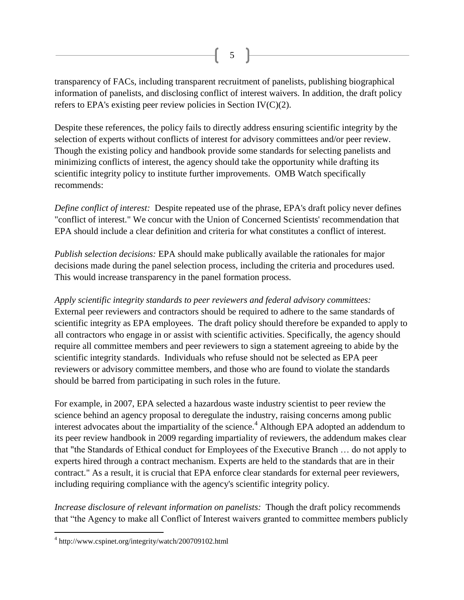transparency of FACs, including transparent recruitment of panelists, publishing biographical information of panelists, and disclosing conflict of interest waivers. In addition, the draft policy refers to EPA's existing peer review policies in Section IV(C)(2).

Despite these references, the policy fails to directly address ensuring scientific integrity by the selection of experts without conflicts of interest for advisory committees and/or peer review. Though the existing policy and handbook provide some standards for selecting panelists and minimizing conflicts of interest, the agency should take the opportunity while drafting its scientific integrity policy to institute further improvements. OMB Watch specifically recommends:

*Define conflict of interest:* Despite repeated use of the phrase, EPA's draft policy never defines "conflict of interest." We concur with the Union of Concerned Scientists' recommendation that EPA should include a clear definition and criteria for what constitutes a conflict of interest.

*Publish selection decisions:* EPA should make publically available the rationales for major decisions made during the panel selection process, including the criteria and procedures used. This would increase transparency in the panel formation process.

*Apply scientific integrity standards to peer reviewers and federal advisory committees:* External peer reviewers and contractors should be required to adhere to the same standards of scientific integrity as EPA employees. The draft policy should therefore be expanded to apply to all contractors who engage in or assist with scientific activities. Specifically, the agency should require all committee members and peer reviewers to sign a statement agreeing to abide by the scientific integrity standards. Individuals who refuse should not be selected as EPA peer reviewers or advisory committee members, and those who are found to violate the standards should be barred from participating in such roles in the future.

For example, in 2007, EPA selected a hazardous waste industry scientist to peer review the science behind an agency proposal to deregulate the industry, raising concerns among public interest advocates about the impartiality of the science.<sup>4</sup> Although EPA adopted an addendum to its peer review handbook in 2009 regarding impartiality of reviewers, the addendum makes clear that "the Standards of Ethical conduct for Employees of the Executive Branch … do not apply to experts hired through a contract mechanism. Experts are held to the standards that are in their contract." As a result, it is crucial that EPA enforce clear standards for external peer reviewers, including requiring compliance with the agency's scientific integrity policy.

*Increase disclosure of relevant information on panelists:* Though the draft policy recommends that "the Agency to make all Conflict of Interest waivers granted to committee members publicly

 $\overline{a}$ 

<sup>&</sup>lt;sup>4</sup> http://www.cspinet.org/integrity/watch/200709102.html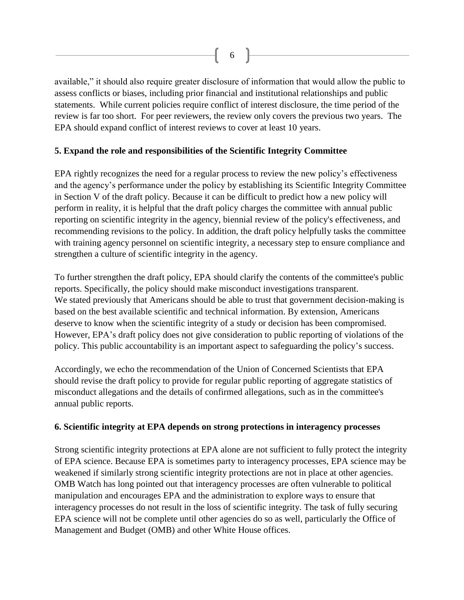available," it should also require greater disclosure of information that would allow the public to assess conflicts or biases, including prior financial and institutional relationships and public statements. While current policies require conflict of interest disclosure, the time period of the review is far too short. For peer reviewers, the review only covers the previous two years. The EPA should expand conflict of interest reviews to cover at least 10 years.

#### **5. Expand the role and responsibilities of the Scientific Integrity Committee**

EPA rightly recognizes the need for a regular process to review the new policy's effectiveness and the agency's performance under the policy by establishing its Scientific Integrity Committee in Section V of the draft policy. Because it can be difficult to predict how a new policy will perform in reality, it is helpful that the draft policy charges the committee with annual public reporting on scientific integrity in the agency, biennial review of the policy's effectiveness, and recommending revisions to the policy. In addition, the draft policy helpfully tasks the committee with training agency personnel on scientific integrity, a necessary step to ensure compliance and strengthen a culture of scientific integrity in the agency.

To further strengthen the draft policy, EPA should clarify the contents of the committee's public reports. Specifically, the policy should make misconduct investigations transparent. We stated previously that Americans should be able to trust that government decision-making is based on the best available scientific and technical information. By extension, Americans deserve to know when the scientific integrity of a study or decision has been compromised. However, EPA's draft policy does not give consideration to public reporting of violations of the policy. This public accountability is an important aspect to safeguarding the policy's success.

Accordingly, we echo the recommendation of the Union of Concerned Scientists that EPA should revise the draft policy to provide for regular public reporting of aggregate statistics of misconduct allegations and the details of confirmed allegations, such as in the committee's annual public reports.

#### **6. Scientific integrity at EPA depends on strong protections in interagency processes**

Strong scientific integrity protections at EPA alone are not sufficient to fully protect the integrity of EPA science. Because EPA is sometimes party to interagency processes, EPA science may be weakened if similarly strong scientific integrity protections are not in place at other agencies. OMB Watch has long pointed out that interagency processes are often vulnerable to political manipulation and encourages EPA and the administration to explore ways to ensure that interagency processes do not result in the loss of scientific integrity. The task of fully securing EPA science will not be complete until other agencies do so as well, particularly the Office of Management and Budget (OMB) and other White House offices.